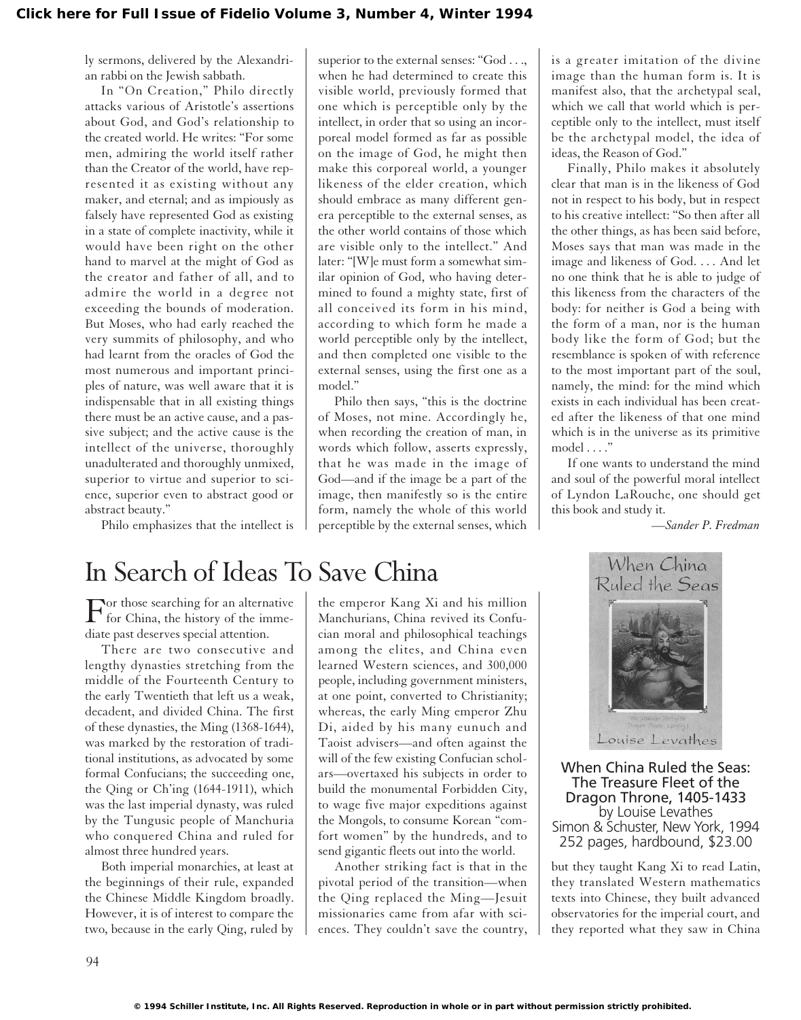ly sermons, delivered by the Alexandrian rabbi on the Jewish sabbath.

In "On Creation," Philo directly attacks various of Aristotle's assertions about God, and God's relationship to the created world. He writes: "For some men, admiring the world itself rather than the Creator of the world, have represented it as existing without any maker, and eternal; and as impiously as falsely have represented God as existing in a state of complete inactivity, while it would have been right on the other hand to marvel at the might of God as the creator and father of all, and to admire the world in a degree not exceeding the bounds of moderation. But Moses, who had early reached the very summits of philosophy, and who had learnt from the oracles of God the most numerous and important principles of nature, was well aware that it is indispensable that in all existing things there must be an active cause, and a passive subject; and the active cause is the intellect of the universe, thoroughly unadulterated and thoroughly unmixed, superior to virtue and superior to science, superior even to abstract good or abstract beauty."

Philo emphasizes that the intellect is

superior to the external senses: "God . . ., when he had determined to create this visible world, previously formed that one which is perceptible only by the intellect, in order that so using an incorporeal model formed as far as possible on the image of God, he might then make this corporeal world, a younger likeness of the elder creation, which should embrace as many different genera perceptible to the external senses, as the other world contains of those which are visible only to the intellect." And later: "[W]e must form a somewhat similar opinion of God, who having determined to found a mighty state, first of all conceived its form in his mind, according to which form he made a world perceptible only by the intellect, and then completed one visible to the external senses, using the first one as a model."

Philo then says, "this is the doctrine of Moses, not mine. Accordingly he, when recording the creation of man, in words which follow, asserts expressly, that he was made in the image of God—and if the image be a part of the image, then manifestly so is the entire form, namely the whole of this world perceptible by the external senses, which

is a greater imitation of the divine image than the human form is. It is manifest also, that the archetypal seal, which we call that world which is perceptible only to the intellect, must itself be the archetypal model, the idea of ideas, the Reason of God."

Finally, Philo makes it absolutely clear that man is in the likeness of God not in respect to his body, but in respect to his creative intellect: "So then after all the other things, as has been said before, Moses says that man was made in the image and likeness of God. . . . And let no one think that he is able to judge of this likeness from the characters of the body: for neither is God a being with the form of a man, nor is the human body like the form of God; but the resemblance is spoken of with reference to the most important part of the soul, namely, the mind: for the mind which exists in each individual has been created after the likeness of that one mind which is in the universe as its primitive model . . . ."

If one wants to understand the mind and soul of the powerful moral intellect of Lyndon LaRouche, one should get this book and study it.

*—Sander P. Fredman*

## In Search of Ideas To Save China

For those searching for an alternative<br>for China, the history of the immediate past deserves special attention.

There are two consecutive and lengthy dynasties stretching from the middle of the Fourteenth Century to the early Twentieth that left us a weak, decadent, and divided China. The first of these dynasties, the Ming (1368-1644), was marked by the restoration of traditional institutions, as advocated by some formal Confucians; the succeeding one, the Qing or Ch'ing (1644-1911), which was the last imperial dynasty, was ruled by the Tungusic people of Manchuria who conquered China and ruled for almost three hundred years.

Both imperial monarchies, at least at the beginnings of their rule, expanded the Chinese Middle Kingdom broadly. However, it is of interest to compare the two, because in the early Qing, ruled by the emperor Kang Xi and his million Manchurians, China revived its Confucian moral and philosophical teachings among the elites, and China even learned Western sciences, and 300,000 people, including government ministers, at one point, converted to Christianity; whereas, the early Ming emperor Zhu Di, aided by his many eunuch and Taoist advisers—and often against the will of the few existing Confucian scholars—overtaxed his subjects in order to build the monumental Forbidden City, to wage five major expeditions against the Mongols, to consume Korean "comfort women" by the hundreds, and to send gigantic fleets out into the world.

Another striking fact is that in the pivotal period of the transition—when the Qing replaced the Ming—Jesuit missionaries came from afar with sciences. They couldn't save the country,



When China Ruled the Seas: The Treasure Fleet of the Dragon Throne, 1405-1433 by Louise Levathes Simon & Schuster, New York, 1994 252 pages, hardbound, \$23.00

but they taught Kang Xi to read Latin, they translated Western mathematics texts into Chinese, they built advanced observatories for the imperial court, and they reported what they saw in China